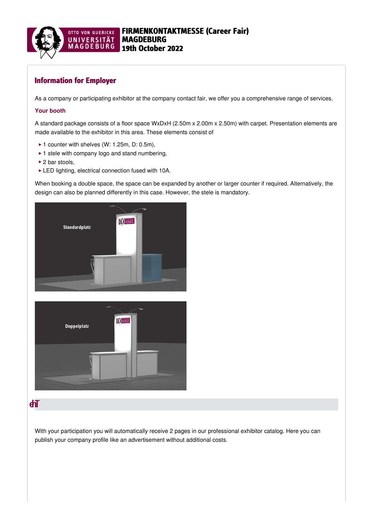

### Information for Employer

As a company or participating exhibitor at the company contact fair, we offer you a comprehensive range of services.

### **Your booth**

A standard package consists of a floor space WxDxH (2.50m x 2.00m x 2.50m) with carpet. Presentation elements are made available to the exhibitor in this area. These elements consist of

- ▶ 1 counter with shelves (W: 1.25m, D: 0.5m),
- ▶ 1 stele with company logo and stand numbering,
- ► 2 bar stools,
- LED lighting, electrical connection fused with 10A. ‣

When booking a double space, the space can be expanded by another or larger counter if required. Alternatively, the design can also be planned differently in this case. However, the stele is mandatory.





## $\mathbf{d}$

With your participation you will automatically receive 2 pages in our professional exhibitor catalog. Here you can publish your company profile like an advertisement without additional costs.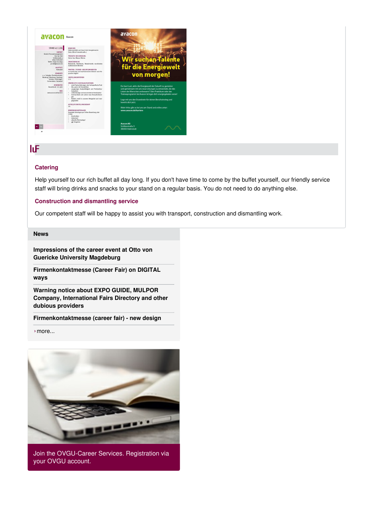

# riaf eht gnirud srot ibihxe l la rof ecivres l luF

### **Catering**

Help yourself to our rich buffet all day long. If you don't have time to come by the buffet yourself, our friendly service staff will bring drinks and snacks to your stand on a regular basis. You do not need to do anything else.

### **Construction and dismantling service**

Our competent staff will be happy to assist you with transport, construction and dismantling work.

### **[News](https://www.firmenkontaktmesse.ovgu.de/firmenkontaktmesse/en/News.html)**

**[Impressions](https://www.firmenkontaktmesse.ovgu.de/firmenkontaktmesse/en/News/That+was+the+Company+Contact+Fair+2021_+Impressions+and+more-p-716.html) of the career event at Otto von Guericke University Magdeburg**

**[Firmenkontaktmesse](https://www.firmenkontaktmesse.ovgu.de/firmenkontaktmesse/en/News/Firmenkontaktmesse+%28Career+Fair%29+on++DIGITAL+ways.html) (Career Fair) on DIGITAL ways**

**Warning notice about EXPO GUIDE, MULPOR Company, [International](https://www.firmenkontaktmesse.ovgu.de/firmenkontaktmesse/en/News/Warning+notice.html) Fairs Directory and other dubious providers**

**[Firmenkontaktmesse](https://www.firmenkontaktmesse.ovgu.de/firmenkontaktmesse/en/News/New+Design.html) (career fair) - new design**

›[more...](https://www.firmenkontaktmesse.ovgu.de/firmenkontaktmesse/en/News.html)



Join the OVGU-Career Services. Registration via your OVGU account.